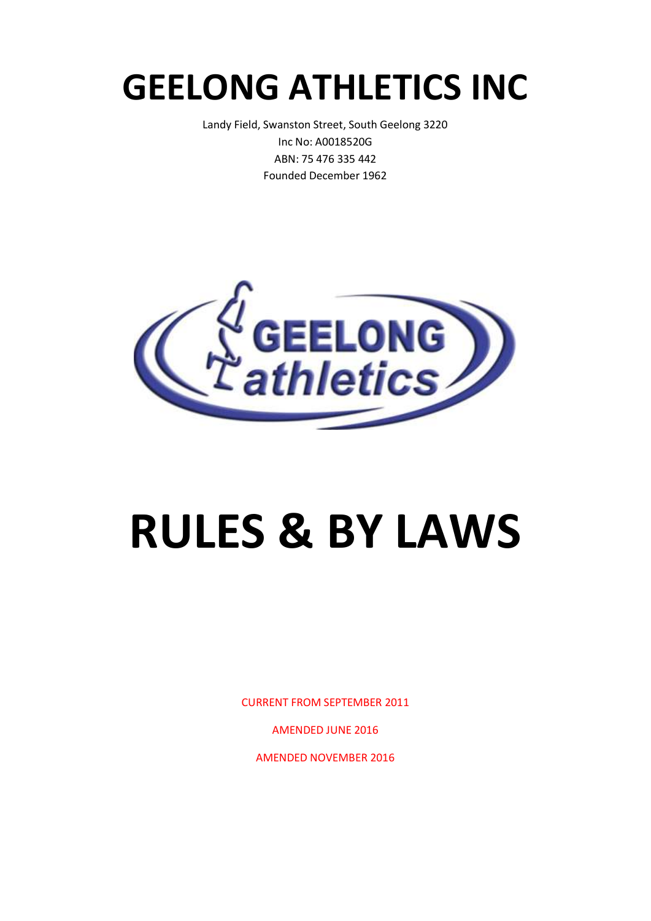# **GEELONG ATHLETICS INC**

Landy Field, Swanston Street, South Geelong 3220 Inc No: A0018520G ABN: 75 476 335 442 Founded December 1962



# **RULES & BY LAWS**

CURRENT FROM SEPTEMBER 2011

AMENDED JUNE 2016

AMENDED NOVEMBER 2016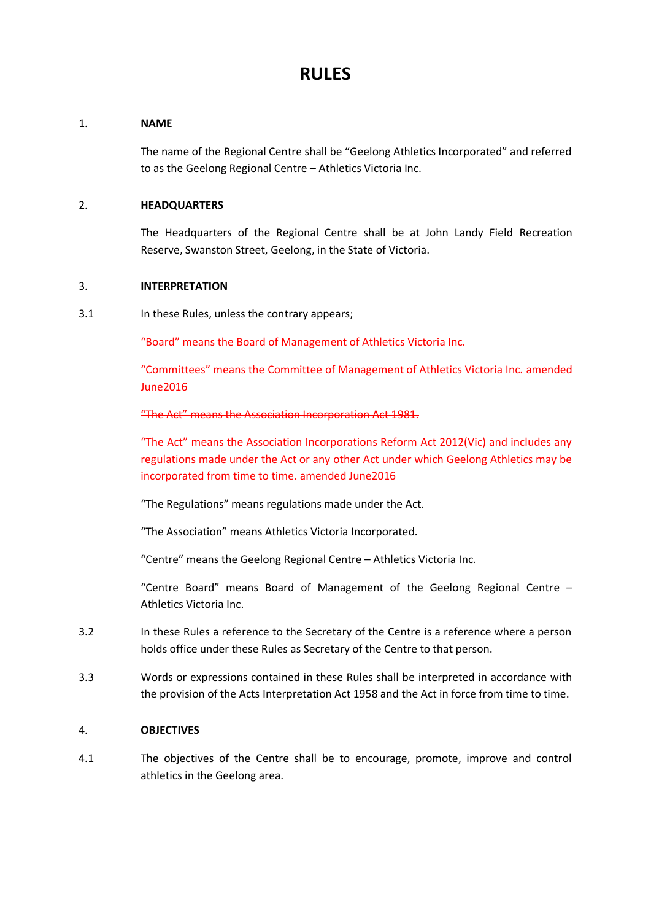### **RULES**

#### 1. **NAME**

The name of the Regional Centre shall be "Geelong Athletics Incorporated" and referred to as the Geelong Regional Centre – Athletics Victoria Inc.

#### 2. **HEADQUARTERS**

The Headquarters of the Regional Centre shall be at John Landy Field Recreation Reserve, Swanston Street, Geelong, in the State of Victoria.

#### 3. **INTERPRETATION**

3.1 In these Rules, unless the contrary appears;

"Board" means the Board of Management of Athletics Victoria Inc.

"Committees" means the Committee of Management of Athletics Victoria Inc. amended June2016

#### "The Act" means the Association Incorporation Act 1981.

"The Act" means the Association Incorporations Reform Act 2012(Vic) and includes any regulations made under the Act or any other Act under which Geelong Athletics may be incorporated from time to time. amended June2016

"The Regulations" means regulations made under the Act.

"The Association" means Athletics Victoria Incorporated*.*

"Centre" means the Geelong Regional Centre – Athletics Victoria Inc*.*

"Centre Board" means Board of Management of the Geelong Regional Centre – Athletics Victoria Inc.

- 3.2 In these Rules a reference to the Secretary of the Centre is a reference where a person holds office under these Rules as Secretary of the Centre to that person.
- 3.3 Words or expressions contained in these Rules shall be interpreted in accordance with the provision of the Acts Interpretation Act 1958 and the Act in force from time to time.

#### 4. **OBJECTIVES**

4.1 The objectives of the Centre shall be to encourage, promote, improve and control athletics in the Geelong area.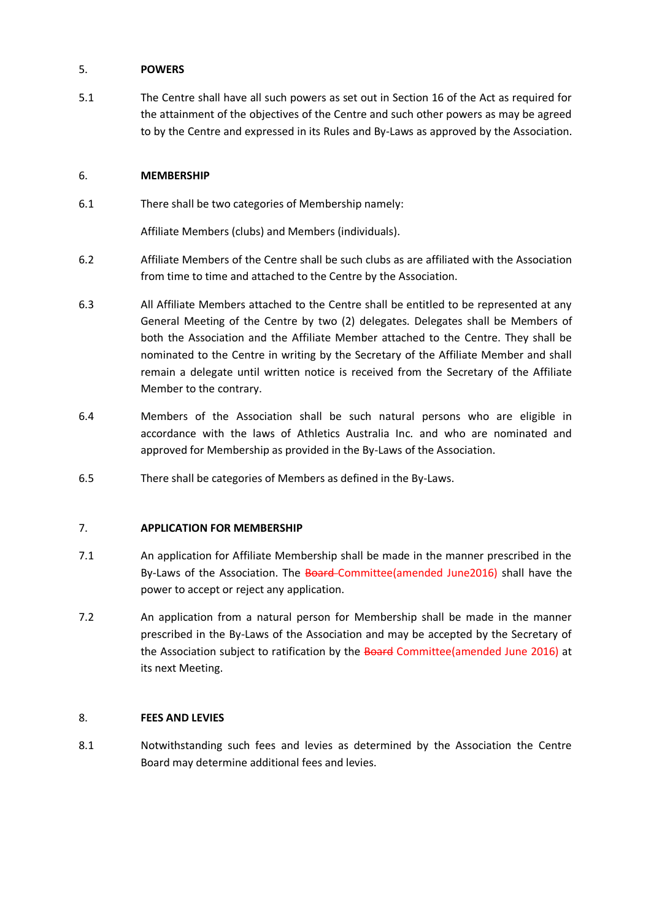#### 5. **POWERS**

5.1 The Centre shall have all such powers as set out in Section 16 of the Act as required for the attainment of the objectives of the Centre and such other powers as may be agreed to by the Centre and expressed in its Rules and By-Laws as approved by the Association.

#### 6. **MEMBERSHIP**

6.1 There shall be two categories of Membership namely:

Affiliate Members (clubs) and Members (individuals).

- 6.2 Affiliate Members of the Centre shall be such clubs as are affiliated with the Association from time to time and attached to the Centre by the Association.
- 6.3 All Affiliate Members attached to the Centre shall be entitled to be represented at any General Meeting of the Centre by two (2) delegates. Delegates shall be Members of both the Association and the Affiliate Member attached to the Centre. They shall be nominated to the Centre in writing by the Secretary of the Affiliate Member and shall remain a delegate until written notice is received from the Secretary of the Affiliate Member to the contrary.
- 6.4 Members of the Association shall be such natural persons who are eligible in accordance with the laws of Athletics Australia Inc. and who are nominated and approved for Membership as provided in the By-Laws of the Association.
- 6.5 There shall be categories of Members as defined in the By-Laws.

#### 7. **APPLICATION FOR MEMBERSHIP**

- 7.1 An application for Affiliate Membership shall be made in the manner prescribed in the By-Laws of the Association. The Board-Committee(amended June2016) shall have the power to accept or reject any application.
- 7.2 An application from a natural person for Membership shall be made in the manner prescribed in the By-Laws of the Association and may be accepted by the Secretary of the Association subject to ratification by the Board Committee(amended June 2016) at its next Meeting.

#### 8. **FEES AND LEVIES**

8.1 Notwithstanding such fees and levies as determined by the Association the Centre Board may determine additional fees and levies.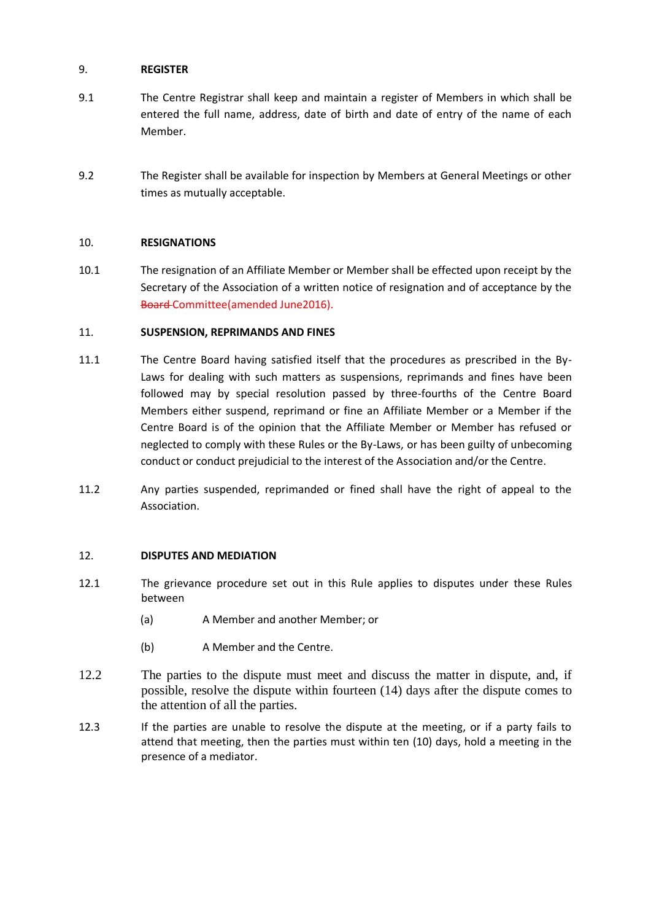#### 9. **REGISTER**

- 9.1 The Centre Registrar shall keep and maintain a register of Members in which shall be entered the full name, address, date of birth and date of entry of the name of each Member.
- 9.2 The Register shall be available for inspection by Members at General Meetings or other times as mutually acceptable.

#### 10. **RESIGNATIONS**

10.1 The resignation of an Affiliate Member or Member shall be effected upon receipt by the Secretary of the Association of a written notice of resignation and of acceptance by the Board Committee(amended June2016).

#### 11. **SUSPENSION, REPRIMANDS AND FINES**

- 11.1 The Centre Board having satisfied itself that the procedures as prescribed in the By-Laws for dealing with such matters as suspensions, reprimands and fines have been followed may by special resolution passed by three-fourths of the Centre Board Members either suspend, reprimand or fine an Affiliate Member or a Member if the Centre Board is of the opinion that the Affiliate Member or Member has refused or neglected to comply with these Rules or the By-Laws, or has been guilty of unbecoming conduct or conduct prejudicial to the interest of the Association and/or the Centre.
- 11.2 Any parties suspended, reprimanded or fined shall have the right of appeal to the Association.

#### 12. **DISPUTES AND MEDIATION**

- 12.1 The grievance procedure set out in this Rule applies to disputes under these Rules between
	- (a) A Member and another Member; or
	- (b) A Member and the Centre.
- 12.2 The parties to the dispute must meet and discuss the matter in dispute, and, if possible, resolve the dispute within fourteen (14) days after the dispute comes to the attention of all the parties.
- 12.3 If the parties are unable to resolve the dispute at the meeting, or if a party fails to attend that meeting, then the parties must within ten (10) days, hold a meeting in the presence of a mediator.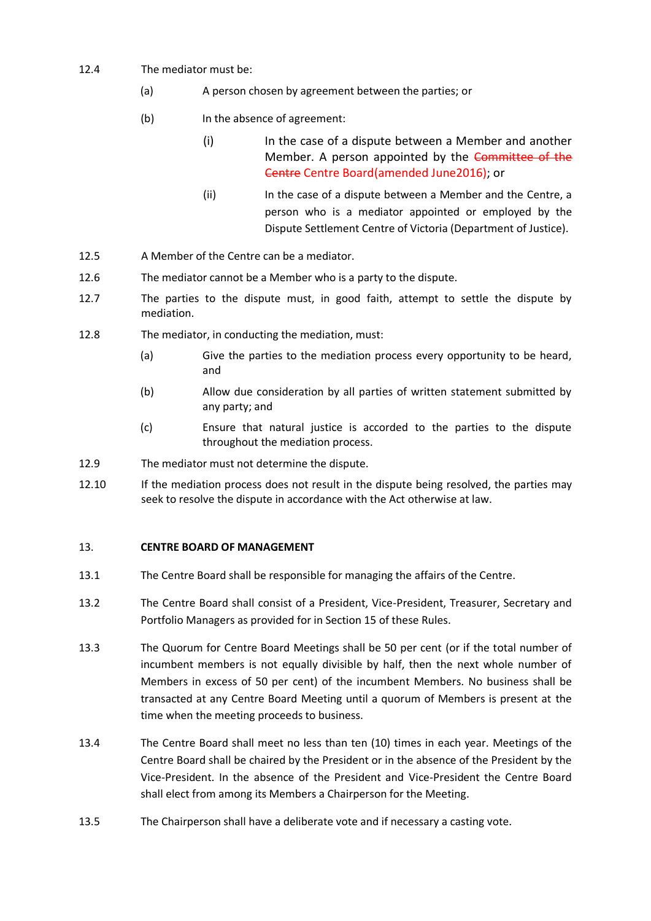- 12.4 The mediator must be:
	- (a) A person chosen by agreement between the parties; or
	- (b) In the absence of agreement:
		- (i) In the case of a dispute between a Member and another Member. A person appointed by the Committee of the Centre Centre Board(amended June2016); or
		- (ii) In the case of a dispute between a Member and the Centre, a person who is a mediator appointed or employed by the Dispute Settlement Centre of Victoria (Department of Justice).
- 12.5 A Member of the Centre can be a mediator.
- 12.6 The mediator cannot be a Member who is a party to the dispute.
- 12.7 The parties to the dispute must, in good faith, attempt to settle the dispute by mediation.
- 12.8 The mediator, in conducting the mediation, must:
	- (a) Give the parties to the mediation process every opportunity to be heard, and
	- (b) Allow due consideration by all parties of written statement submitted by any party; and
	- (c) Ensure that natural justice is accorded to the parties to the dispute throughout the mediation process.
- 12.9 The mediator must not determine the dispute.
- 12.10 If the mediation process does not result in the dispute being resolved, the parties may seek to resolve the dispute in accordance with the Act otherwise at law.

#### 13. **CENTRE BOARD OF MANAGEMENT**

- 13.1 The Centre Board shall be responsible for managing the affairs of the Centre.
- 13.2 The Centre Board shall consist of a President, Vice-President, Treasurer, Secretary and Portfolio Managers as provided for in Section 15 of these Rules.
- 13.3 The Quorum for Centre Board Meetings shall be 50 per cent (or if the total number of incumbent members is not equally divisible by half, then the next whole number of Members in excess of 50 per cent) of the incumbent Members. No business shall be transacted at any Centre Board Meeting until a quorum of Members is present at the time when the meeting proceeds to business.
- 13.4 The Centre Board shall meet no less than ten (10) times in each year. Meetings of the Centre Board shall be chaired by the President or in the absence of the President by the Vice-President. In the absence of the President and Vice-President the Centre Board shall elect from among its Members a Chairperson for the Meeting.
- 13.5 The Chairperson shall have a deliberate vote and if necessary a casting vote.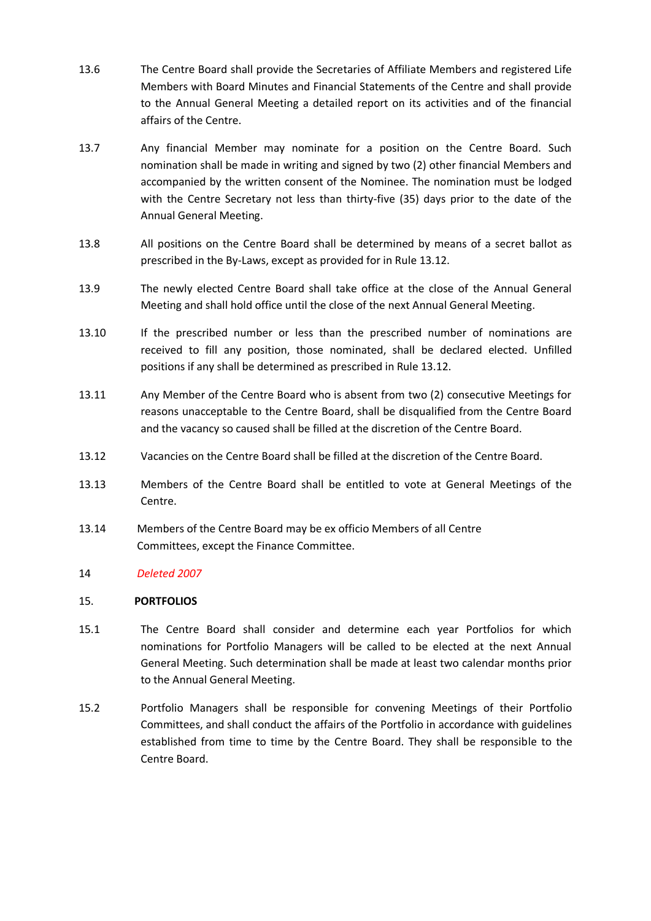- 13.6 The Centre Board shall provide the Secretaries of Affiliate Members and registered Life Members with Board Minutes and Financial Statements of the Centre and shall provide to the Annual General Meeting a detailed report on its activities and of the financial affairs of the Centre.
- 13.7 Any financial Member may nominate for a position on the Centre Board. Such nomination shall be made in writing and signed by two (2) other financial Members and accompanied by the written consent of the Nominee. The nomination must be lodged with the Centre Secretary not less than thirty-five (35) days prior to the date of the Annual General Meeting.
- 13.8 All positions on the Centre Board shall be determined by means of a secret ballot as prescribed in the By-Laws, except as provided for in Rule 13.12.
- 13.9 The newly elected Centre Board shall take office at the close of the Annual General Meeting and shall hold office until the close of the next Annual General Meeting.
- 13.10 If the prescribed number or less than the prescribed number of nominations are received to fill any position, those nominated, shall be declared elected. Unfilled positions if any shall be determined as prescribed in Rule 13.12.
- 13.11 Any Member of the Centre Board who is absent from two (2) consecutive Meetings for reasons unacceptable to the Centre Board, shall be disqualified from the Centre Board and the vacancy so caused shall be filled at the discretion of the Centre Board.
- 13.12 Vacancies on the Centre Board shall be filled at the discretion of the Centre Board.
- 13.13 Members of the Centre Board shall be entitled to vote at General Meetings of the Centre.
- 13.14 Members of the Centre Board may be ex officio Members of all Centre Committees, except the Finance Committee.

#### 14 *Deleted 2007*

#### 15. **PORTFOLIOS**

- 15.1 The Centre Board shall consider and determine each year Portfolios for which nominations for Portfolio Managers will be called to be elected at the next Annual General Meeting. Such determination shall be made at least two calendar months prior to the Annual General Meeting.
- 15.2 Portfolio Managers shall be responsible for convening Meetings of their Portfolio Committees, and shall conduct the affairs of the Portfolio in accordance with guidelines established from time to time by the Centre Board. They shall be responsible to the Centre Board.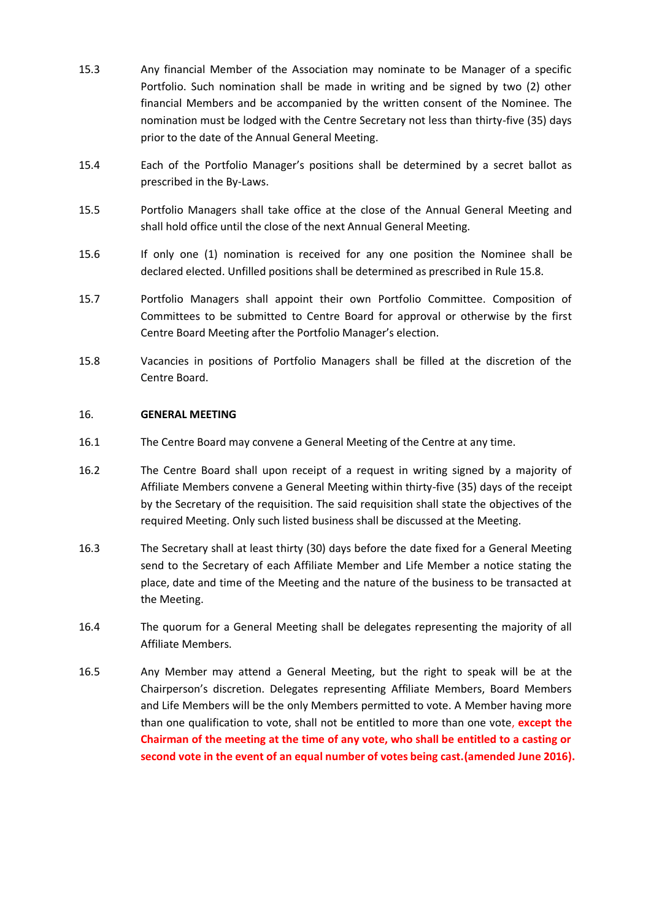- 15.3 Any financial Member of the Association may nominate to be Manager of a specific Portfolio. Such nomination shall be made in writing and be signed by two (2) other financial Members and be accompanied by the written consent of the Nominee. The nomination must be lodged with the Centre Secretary not less than thirty-five (35) days prior to the date of the Annual General Meeting.
- 15.4 Each of the Portfolio Manager's positions shall be determined by a secret ballot as prescribed in the By-Laws.
- 15.5 Portfolio Managers shall take office at the close of the Annual General Meeting and shall hold office until the close of the next Annual General Meeting.
- 15.6 If only one (1) nomination is received for any one position the Nominee shall be declared elected. Unfilled positions shall be determined as prescribed in Rule 15.8.
- 15.7 Portfolio Managers shall appoint their own Portfolio Committee. Composition of Committees to be submitted to Centre Board for approval or otherwise by the first Centre Board Meeting after the Portfolio Manager's election.
- 15.8 Vacancies in positions of Portfolio Managers shall be filled at the discretion of the Centre Board.

#### 16. **GENERAL MEETING**

- 16.1 The Centre Board may convene a General Meeting of the Centre at any time.
- 16.2 The Centre Board shall upon receipt of a request in writing signed by a majority of Affiliate Members convene a General Meeting within thirty-five (35) days of the receipt by the Secretary of the requisition. The said requisition shall state the objectives of the required Meeting. Only such listed business shall be discussed at the Meeting.
- 16.3 The Secretary shall at least thirty (30) days before the date fixed for a General Meeting send to the Secretary of each Affiliate Member and Life Member a notice stating the place, date and time of the Meeting and the nature of the business to be transacted at the Meeting.
- 16.4 The quorum for a General Meeting shall be delegates representing the majority of all Affiliate Members.
- 16.5 Any Member may attend a General Meeting, but the right to speak will be at the Chairperson's discretion. Delegates representing Affiliate Members, Board Members and Life Members will be the only Members permitted to vote. A Member having more than one qualification to vote, shall not be entitled to more than one vote, **except the Chairman of the meeting at the time of any vote, who shall be entitled to a casting or second vote in the event of an equal number of votes being cast.(amended June 2016).**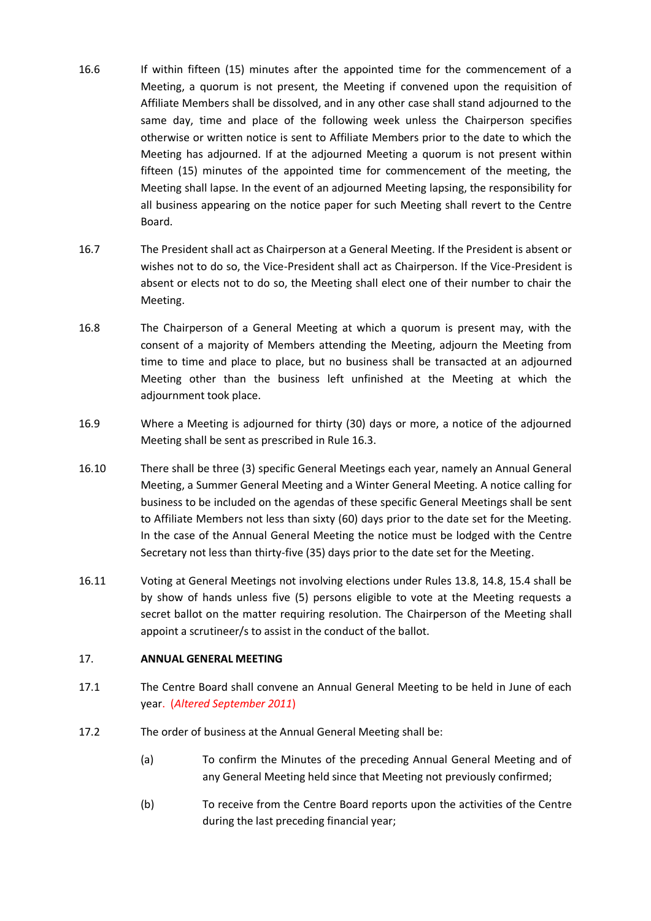- 16.6 If within fifteen (15) minutes after the appointed time for the commencement of a Meeting, a quorum is not present, the Meeting if convened upon the requisition of Affiliate Members shall be dissolved, and in any other case shall stand adjourned to the same day, time and place of the following week unless the Chairperson specifies otherwise or written notice is sent to Affiliate Members prior to the date to which the Meeting has adjourned. If at the adjourned Meeting a quorum is not present within fifteen (15) minutes of the appointed time for commencement of the meeting, the Meeting shall lapse. In the event of an adjourned Meeting lapsing, the responsibility for all business appearing on the notice paper for such Meeting shall revert to the Centre Board.
- 16.7 The President shall act as Chairperson at a General Meeting. If the President is absent or wishes not to do so, the Vice-President shall act as Chairperson. If the Vice-President is absent or elects not to do so, the Meeting shall elect one of their number to chair the Meeting.
- 16.8 The Chairperson of a General Meeting at which a quorum is present may, with the consent of a majority of Members attending the Meeting, adjourn the Meeting from time to time and place to place, but no business shall be transacted at an adjourned Meeting other than the business left unfinished at the Meeting at which the adjournment took place.
- 16.9 Where a Meeting is adjourned for thirty (30) days or more, a notice of the adjourned Meeting shall be sent as prescribed in Rule 16.3.
- 16.10 There shall be three (3) specific General Meetings each year, namely an Annual General Meeting, a Summer General Meeting and a Winter General Meeting. A notice calling for business to be included on the agendas of these specific General Meetings shall be sent to Affiliate Members not less than sixty (60) days prior to the date set for the Meeting. In the case of the Annual General Meeting the notice must be lodged with the Centre Secretary not less than thirty-five (35) days prior to the date set for the Meeting.
- 16.11 Voting at General Meetings not involving elections under Rules 13.8, 14.8, 15.4 shall be by show of hands unless five (5) persons eligible to vote at the Meeting requests a secret ballot on the matter requiring resolution. The Chairperson of the Meeting shall appoint a scrutineer/s to assist in the conduct of the ballot.

#### 17. **ANNUAL GENERAL MEETING**

- 17.1 The Centre Board shall convene an Annual General Meeting to be held in June of each year. (*Altered September 2011*)
- 17.2 The order of business at the Annual General Meeting shall be:
	- (a) To confirm the Minutes of the preceding Annual General Meeting and of any General Meeting held since that Meeting not previously confirmed;
	- (b) To receive from the Centre Board reports upon the activities of the Centre during the last preceding financial year;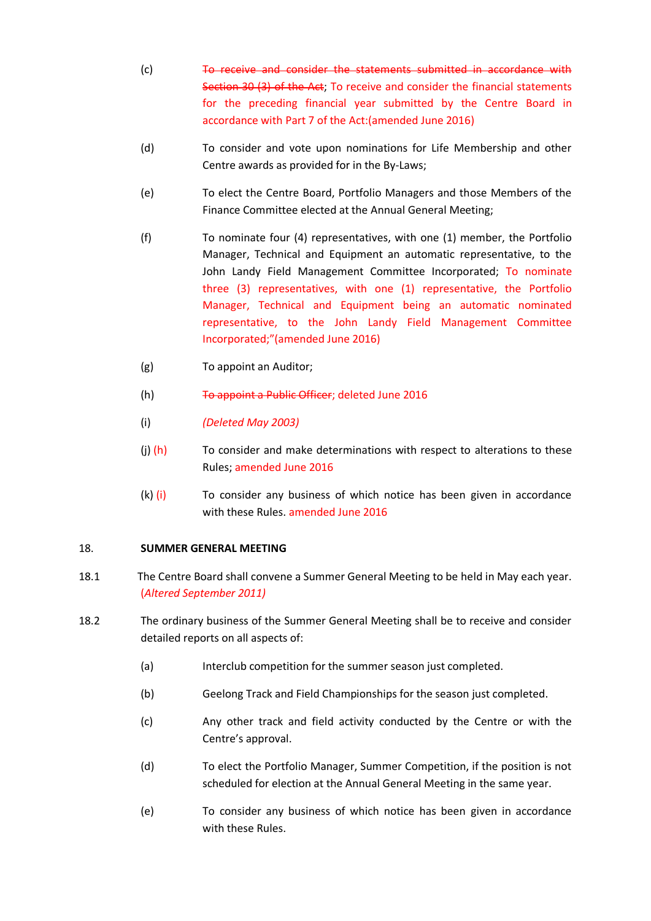- (c) To receive and consider the statements submitted in accordance with Section 30 (3) of the Act; To receive and consider the financial statements for the preceding financial year submitted by the Centre Board in accordance with Part 7 of the Act:(amended June 2016)
- (d) To consider and vote upon nominations for Life Membership and other Centre awards as provided for in the By-Laws;
- (e) To elect the Centre Board, Portfolio Managers and those Members of the Finance Committee elected at the Annual General Meeting;
- (f) To nominate four (4) representatives, with one (1) member, the Portfolio Manager, Technical and Equipment an automatic representative, to the John Landy Field Management Committee Incorporated; To nominate three (3) representatives, with one (1) representative, the Portfolio Manager, Technical and Equipment being an automatic nominated representative, to the John Landy Field Management Committee Incorporated;"(amended June 2016)
- (g) To appoint an Auditor;
- (h) To appoint a Public Officer; deleted June 2016
- (i) *(Deleted May 2003)*
- (i)  $(h)$  To consider and make determinations with respect to alterations to these Rules; amended June 2016
- $(k)$  (i) To consider any business of which notice has been given in accordance with these Rules. amended June 2016

#### 18. **SUMMER GENERAL MEETING**

- 18.1 The Centre Board shall convene a Summer General Meeting to be held in May each year. (*Altered September 2011)*
- 18.2 The ordinary business of the Summer General Meeting shall be to receive and consider detailed reports on all aspects of:
	- (a) Interclub competition for the summer season just completed.
	- (b) Geelong Track and Field Championships for the season just completed.
	- (c) Any other track and field activity conducted by the Centre or with the Centre's approval.
	- (d) To elect the Portfolio Manager, Summer Competition, if the position is not scheduled for election at the Annual General Meeting in the same year.
	- (e) To consider any business of which notice has been given in accordance with these Rules.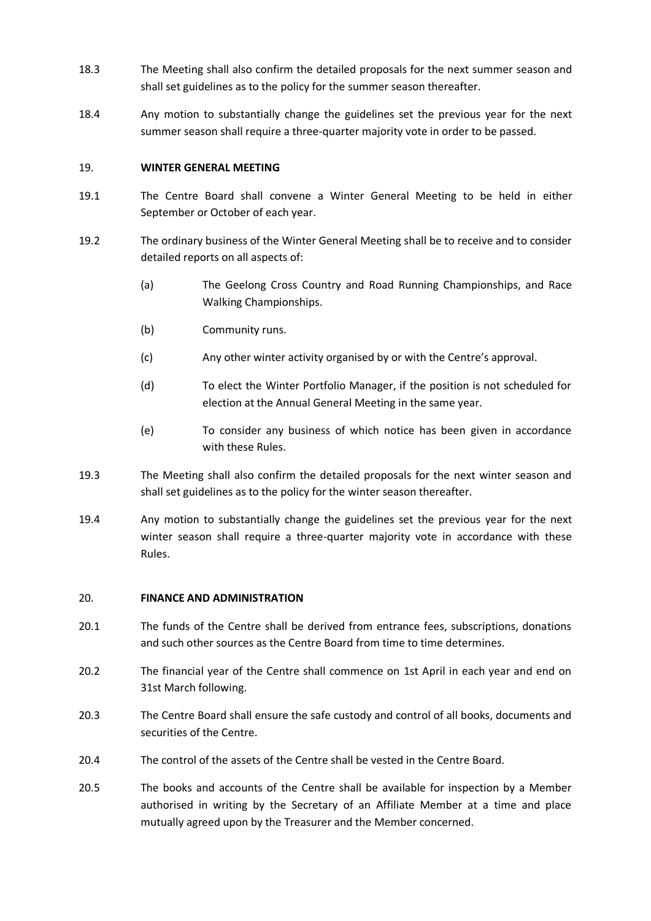- 18.3 The Meeting shall also confirm the detailed proposals for the next summer season and shall set guidelines as to the policy for the summer season thereafter.
- 18.4 Any motion to substantially change the guidelines set the previous year for the next summer season shall require a three-quarter majority vote in order to be passed.

#### 19. **WINTER GENERAL MEETING**

- 19.1 The Centre Board shall convene a Winter General Meeting to be held in either September or October of each year.
- 19.2 The ordinary business of the Winter General Meeting shall be to receive and to consider detailed reports on all aspects of:
	- (a) The Geelong Cross Country and Road Running Championships, and Race Walking Championships.
	- (b) Community runs.
	- (c) Any other winter activity organised by or with the Centre's approval.
	- (d) To elect the Winter Portfolio Manager, if the position is not scheduled for election at the Annual General Meeting in the same year.
	- (e) To consider any business of which notice has been given in accordance with these Rules.
- 19.3 The Meeting shall also confirm the detailed proposals for the next winter season and shall set guidelines as to the policy for the winter season thereafter.
- 19.4 Any motion to substantially change the guidelines set the previous year for the next winter season shall require a three-quarter majority vote in accordance with these Rules.

#### 20. **FINANCE AND ADMINISTRATION**

- 20.1 The funds of the Centre shall be derived from entrance fees, subscriptions, donations and such other sources as the Centre Board from time to time determines.
- 20.2 The financial year of the Centre shall commence on 1st April in each year and end on 31st March following.
- 20.3 The Centre Board shall ensure the safe custody and control of all books, documents and securities of the Centre.
- 20.4 The control of the assets of the Centre shall be vested in the Centre Board.
- 20.5 The books and accounts of the Centre shall be available for inspection by a Member authorised in writing by the Secretary of an Affiliate Member at a time and place mutually agreed upon by the Treasurer and the Member concerned.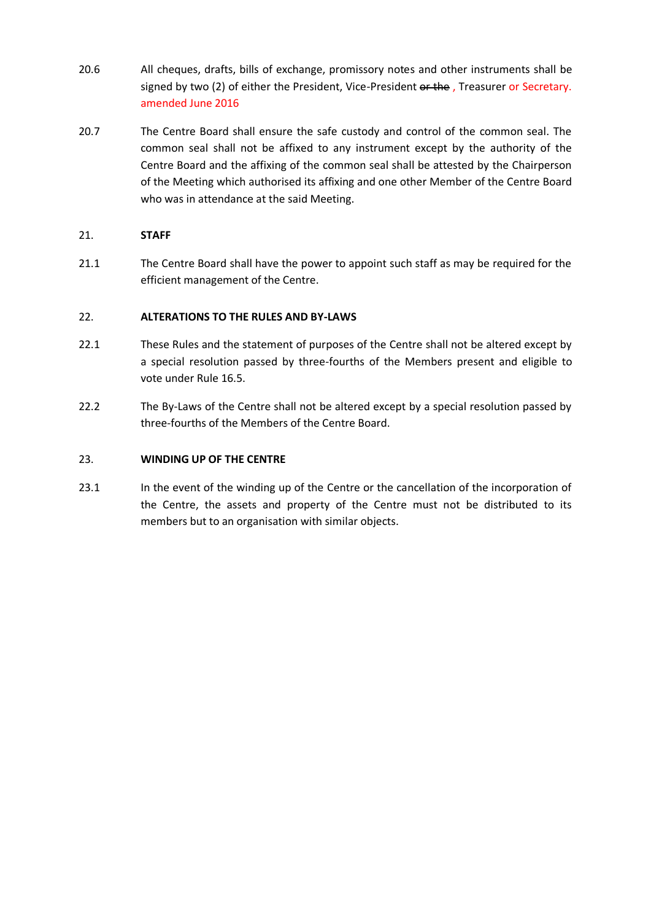- 20.6 All cheques, drafts, bills of exchange, promissory notes and other instruments shall be signed by two (2) of either the President, Vice-President or the , Treasurer or Secretary. amended June 2016
- 20.7 The Centre Board shall ensure the safe custody and control of the common seal. The common seal shall not be affixed to any instrument except by the authority of the Centre Board and the affixing of the common seal shall be attested by the Chairperson of the Meeting which authorised its affixing and one other Member of the Centre Board who was in attendance at the said Meeting.

#### 21. **STAFF**

21.1 The Centre Board shall have the power to appoint such staff as may be required for the efficient management of the Centre.

#### 22. **ALTERATIONS TO THE RULES AND BY-LAWS**

- 22.1 These Rules and the statement of purposes of the Centre shall not be altered except by a special resolution passed by three-fourths of the Members present and eligible to vote under Rule 16.5.
- 22.2 The By-Laws of the Centre shall not be altered except by a special resolution passed by three-fourths of the Members of the Centre Board.

#### 23. **WINDING UP OF THE CENTRE**

23.1 In the event of the winding up of the Centre or the cancellation of the incorporation of the Centre, the assets and property of the Centre must not be distributed to its members but to an organisation with similar objects.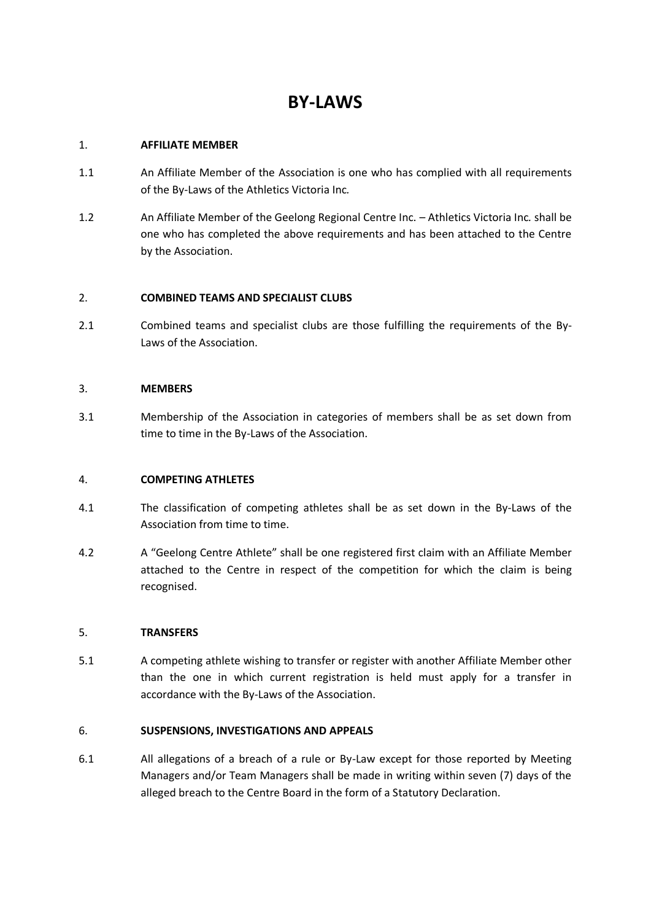## **BY-LAWS**

#### 1. **AFFILIATE MEMBER**

- 1.1 An Affiliate Member of the Association is one who has complied with all requirements of the By-Laws of the Athletics Victoria Inc*.*
- 1.2 An Affiliate Member of the Geelong Regional Centre Inc. Athletics Victoria Inc*.* shall be one who has completed the above requirements and has been attached to the Centre by the Association.

#### 2. **COMBINED TEAMS AND SPECIALIST CLUBS**

2.1 Combined teams and specialist clubs are those fulfilling the requirements of the By-Laws of the Association.

#### 3. **MEMBERS**

3.1 Membership of the Association in categories of members shall be as set down from time to time in the By-Laws of the Association.

#### 4. **COMPETING ATHLETES**

- 4.1 The classification of competing athletes shall be as set down in the By-Laws of the Association from time to time.
- 4.2 A "Geelong Centre Athlete" shall be one registered first claim with an Affiliate Member attached to the Centre in respect of the competition for which the claim is being recognised.

#### 5. **TRANSFERS**

5.1 A competing athlete wishing to transfer or register with another Affiliate Member other than the one in which current registration is held must apply for a transfer in accordance with the By-Laws of the Association.

#### 6. **SUSPENSIONS, INVESTIGATIONS AND APPEALS**

6.1 All allegations of a breach of a rule or By-Law except for those reported by Meeting Managers and/or Team Managers shall be made in writing within seven (7) days of the alleged breach to the Centre Board in the form of a Statutory Declaration.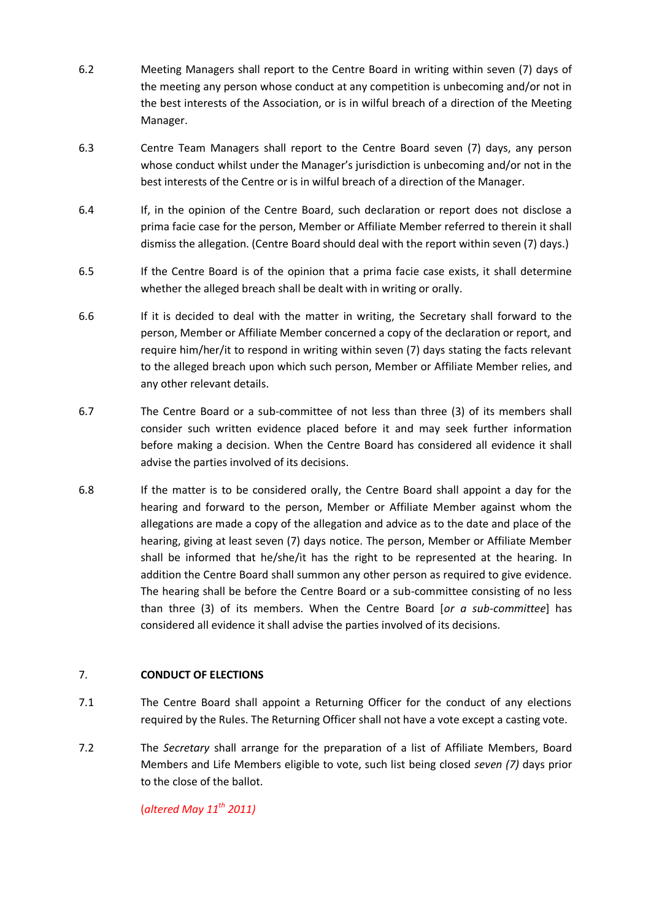- 6.2 Meeting Managers shall report to the Centre Board in writing within seven (7) days of the meeting any person whose conduct at any competition is unbecoming and/or not in the best interests of the Association, or is in wilful breach of a direction of the Meeting Manager.
- 6.3 Centre Team Managers shall report to the Centre Board seven (7) days, any person whose conduct whilst under the Manager's jurisdiction is unbecoming and/or not in the best interests of the Centre or is in wilful breach of a direction of the Manager.
- 6.4 If, in the opinion of the Centre Board, such declaration or report does not disclose a prima facie case for the person, Member or Affiliate Member referred to therein it shall dismiss the allegation. (Centre Board should deal with the report within seven (7) days.)
- 6.5 If the Centre Board is of the opinion that a prima facie case exists, it shall determine whether the alleged breach shall be dealt with in writing or orally.
- 6.6 If it is decided to deal with the matter in writing, the Secretary shall forward to the person, Member or Affiliate Member concerned a copy of the declaration or report, and require him/her/it to respond in writing within seven (7) days stating the facts relevant to the alleged breach upon which such person, Member or Affiliate Member relies, and any other relevant details.
- 6.7 The Centre Board or a sub-committee of not less than three (3) of its members shall consider such written evidence placed before it and may seek further information before making a decision. When the Centre Board has considered all evidence it shall advise the parties involved of its decisions.
- 6.8 If the matter is to be considered orally, the Centre Board shall appoint a day for the hearing and forward to the person, Member or Affiliate Member against whom the allegations are made a copy of the allegation and advice as to the date and place of the hearing, giving at least seven (7) days notice. The person, Member or Affiliate Member shall be informed that he/she/it has the right to be represented at the hearing. In addition the Centre Board shall summon any other person as required to give evidence. The hearing shall be before the Centre Board or a sub-committee consisting of no less than three (3) of its members. When the Centre Board [*or a sub-committee*] has considered all evidence it shall advise the parties involved of its decisions.

#### 7. **CONDUCT OF ELECTIONS**

- 7.1 The Centre Board shall appoint a Returning Officer for the conduct of any elections required by the Rules. The Returning Officer shall not have a vote except a casting vote.
- 7.2 The *Secretary* shall arrange for the preparation of a list of Affiliate Members, Board Members and Life Members eligible to vote, such list being closed *seven (7)* days prior to the close of the ballot.

#### (*altered May 11th 2011)*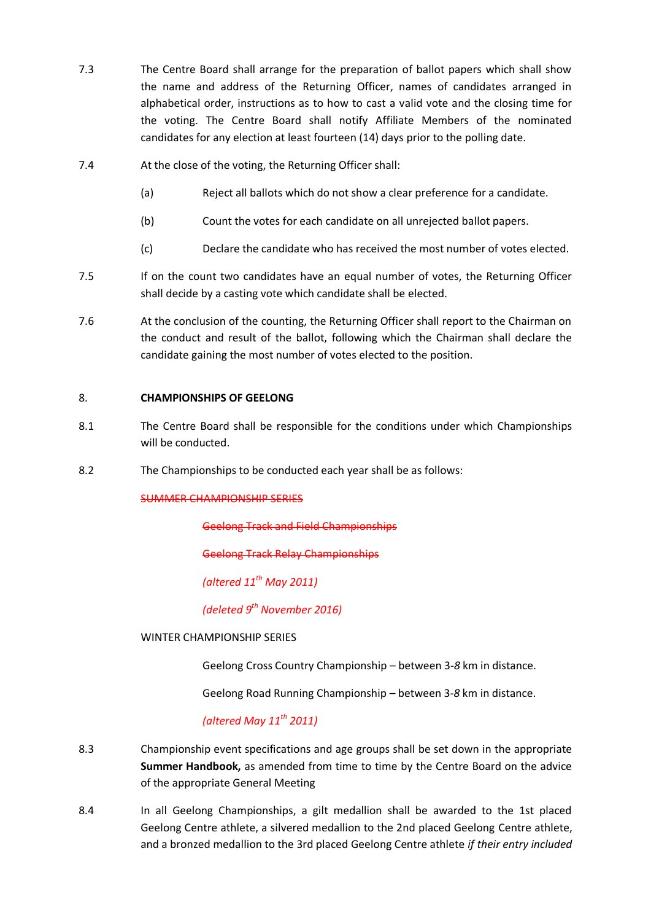- 7.3 The Centre Board shall arrange for the preparation of ballot papers which shall show the name and address of the Returning Officer, names of candidates arranged in alphabetical order, instructions as to how to cast a valid vote and the closing time for the voting. The Centre Board shall notify Affiliate Members of the nominated candidates for any election at least fourteen (14) days prior to the polling date.
- 7.4 At the close of the voting, the Returning Officer shall:
	- (a) Reject all ballots which do not show a clear preference for a candidate.
	- (b) Count the votes for each candidate on all unrejected ballot papers.
	- (c) Declare the candidate who has received the most number of votes elected.
- 7.5 If on the count two candidates have an equal number of votes, the Returning Officer shall decide by a casting vote which candidate shall be elected.
- 7.6 At the conclusion of the counting, the Returning Officer shall report to the Chairman on the conduct and result of the ballot, following which the Chairman shall declare the candidate gaining the most number of votes elected to the position.

#### 8. **CHAMPIONSHIPS OF GEELONG**

- 8.1 The Centre Board shall be responsible for the conditions under which Championships will be conducted.
- 8.2 The Championships to be conducted each year shall be as follows:

#### SUMMER CHAMPIONSHIP SERIES

Geelong Track and Field Championships

Geelong Track Relay Championships

*(altered 11th May 2011)*

*(deleted 9 th November 2016)*

#### WINTER CHAMPIONSHIP SERIES

Geelong Cross Country Championship – between 3-*8* km in distance.

Geelong Road Running Championship – between 3-*8* km in distance.

#### *(altered May 11th 2011)*

- 8.3 Championship event specifications and age groups shall be set down in the appropriate **Summer Handbook,** as amended from time to time by the Centre Board on the advice of the appropriate General Meeting
- 8.4 In all Geelong Championships, a gilt medallion shall be awarded to the 1st placed Geelong Centre athlete, a silvered medallion to the 2nd placed Geelong Centre athlete, and a bronzed medallion to the 3rd placed Geelong Centre athlete *if their entry included*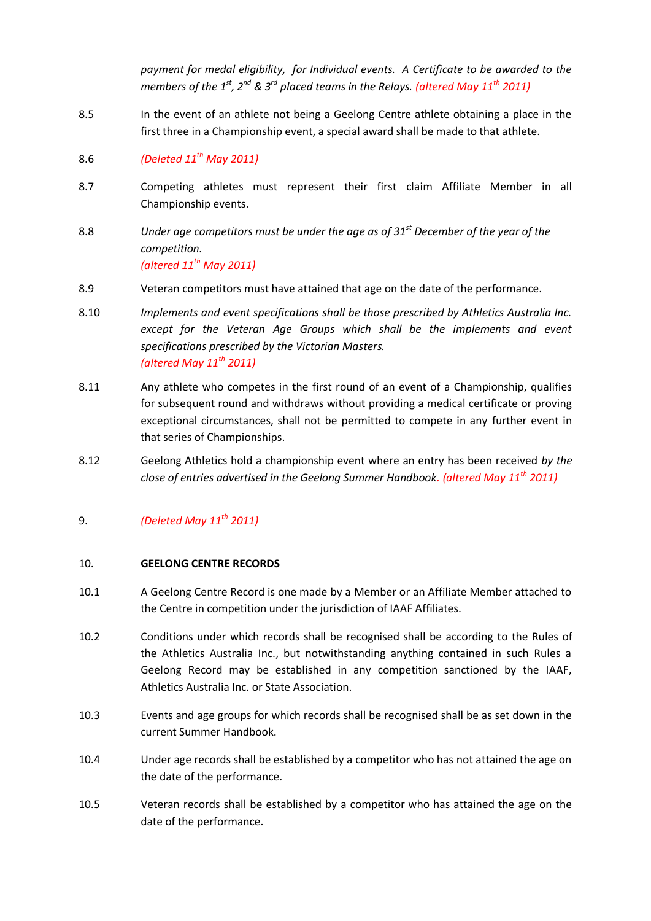*payment for medal eligibility, for Individual events. A Certificate to be awarded to the members of the 1st, 2nd & 3rd placed teams in the Relays. (altered May 11th 2011)*

- 8.5 In the event of an athlete not being a Geelong Centre athlete obtaining a place in the first three in a Championship event, a special award shall be made to that athlete.
- 8.6 *(Deleted 11th May 2011)*
- 8.7 Competing athletes must represent their first claim Affiliate Member in all Championship events.
- 8.8 *Under age competitors must be under the age as of 31st December of the year of the competition. (altered 11th May 2011)*
- 8.9 Veteran competitors must have attained that age on the date of the performance.
- 8.10 *Implements and event specifications shall be those prescribed by Athletics Australia Inc.*  except for the Veteran Age Groups which shall be the *implements and event specifications prescribed by the Victorian Masters. (altered May 11th 2011)*
- 8.11 Any athlete who competes in the first round of an event of a Championship, qualifies for subsequent round and withdraws without providing a medical certificate or proving exceptional circumstances, shall not be permitted to compete in any further event in that series of Championships.
- 8.12 Geelong Athletics hold a championship event where an entry has been received *by the close of entries advertised in the Geelong Summer Handbook. (altered May 11th 2011)*

#### 9. *(Deleted May 11th 2011)*

#### 10. **GEELONG CENTRE RECORDS**

- 10.1 A Geelong Centre Record is one made by a Member or an Affiliate Member attached to the Centre in competition under the jurisdiction of IAAF Affiliates.
- 10.2 Conditions under which records shall be recognised shall be according to the Rules of the Athletics Australia Inc., but notwithstanding anything contained in such Rules a Geelong Record may be established in any competition sanctioned by the IAAF, Athletics Australia Inc. or State Association.
- 10.3 Events and age groups for which records shall be recognised shall be as set down in the current Summer Handbook.
- 10.4 Under age records shall be established by a competitor who has not attained the age on the date of the performance.
- 10.5 Veteran records shall be established by a competitor who has attained the age on the date of the performance.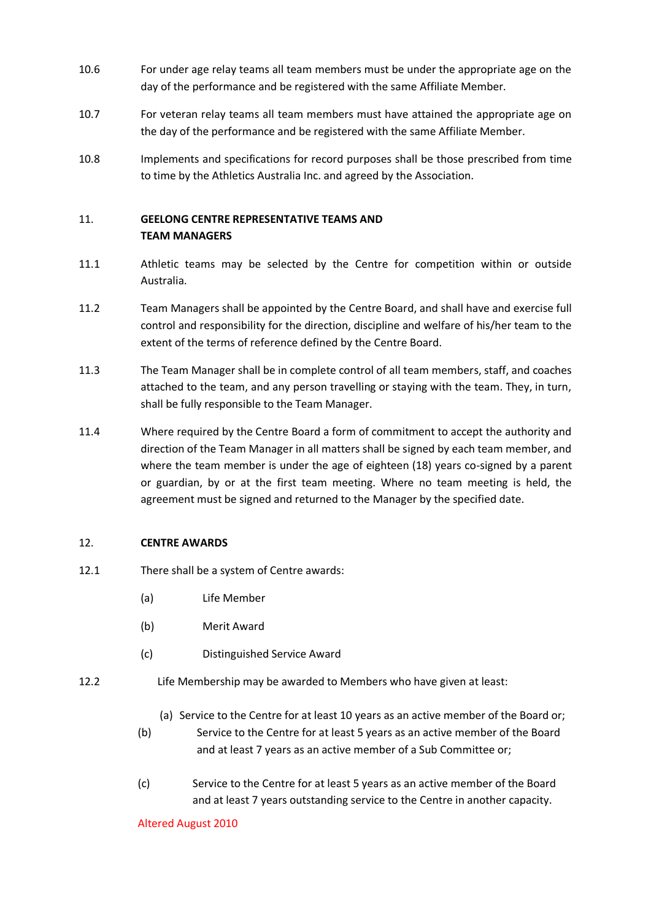- 10.6 For under age relay teams all team members must be under the appropriate age on the day of the performance and be registered with the same Affiliate Member.
- 10.7 For veteran relay teams all team members must have attained the appropriate age on the day of the performance and be registered with the same Affiliate Member.
- 10.8 Implements and specifications for record purposes shall be those prescribed from time to time by the Athletics Australia Inc. and agreed by the Association.

#### 11. **GEELONG CENTRE REPRESENTATIVE TEAMS AND TEAM MANAGERS**

- 11.1 Athletic teams may be selected by the Centre for competition within or outside Australia.
- 11.2 Team Managers shall be appointed by the Centre Board, and shall have and exercise full control and responsibility for the direction, discipline and welfare of his/her team to the extent of the terms of reference defined by the Centre Board.
- 11.3 The Team Manager shall be in complete control of all team members, staff, and coaches attached to the team, and any person travelling or staying with the team. They, in turn, shall be fully responsible to the Team Manager.
- 11.4 Where required by the Centre Board a form of commitment to accept the authority and direction of the Team Manager in all matters shall be signed by each team member, and where the team member is under the age of eighteen (18) years co-signed by a parent or guardian, by or at the first team meeting. Where no team meeting is held, the agreement must be signed and returned to the Manager by the specified date.

#### 12. **CENTRE AWARDS**

- 12.1 There shall be a system of Centre awards:
	- (a) Life Member
	- (b) Merit Award
	- (c) Distinguished Service Award
- 12.2 Life Membership may be awarded to Members who have given at least:
	- (a) Service to the Centre for at least 10 years as an active member of the Board or;
	- (b) Service to the Centre for at least 5 years as an active member of the Board and at least 7 years as an active member of a Sub Committee or;
	- (c) Service to the Centre for at least 5 years as an active member of the Board and at least 7 years outstanding service to the Centre in another capacity.

Altered August 2010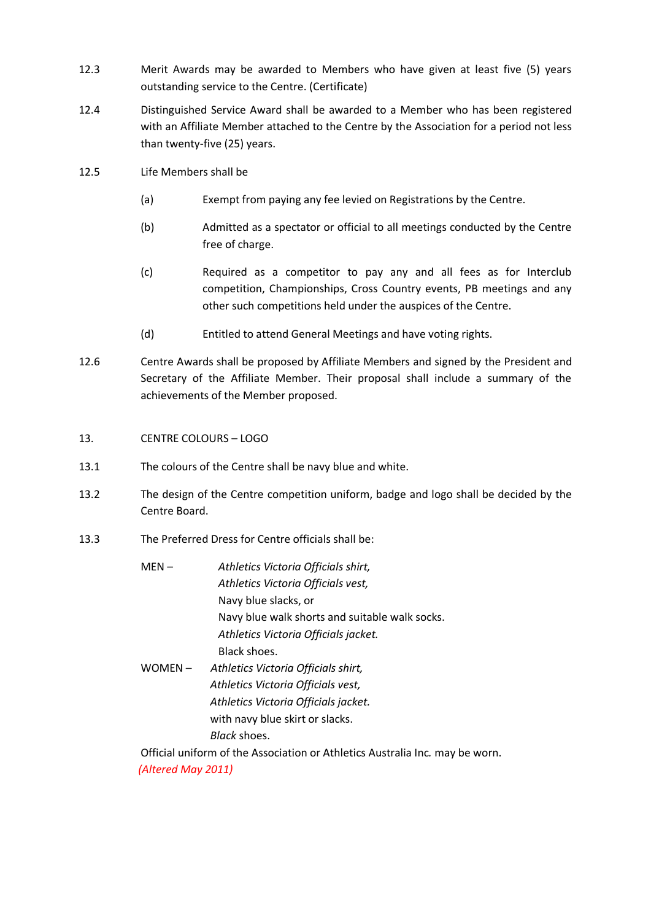- 12.3 Merit Awards may be awarded to Members who have given at least five (5) years outstanding service to the Centre. (Certificate)
- 12.4 Distinguished Service Award shall be awarded to a Member who has been registered with an Affiliate Member attached to the Centre by the Association for a period not less than twenty-five (25) years.
- 12.5 Life Members shall be
	- (a) Exempt from paying any fee levied on Registrations by the Centre.
	- (b) Admitted as a spectator or official to all meetings conducted by the Centre free of charge.
	- (c) Required as a competitor to pay any and all fees as for Interclub competition, Championships, Cross Country events, PB meetings and any other such competitions held under the auspices of the Centre.
	- (d) Entitled to attend General Meetings and have voting rights.
- 12.6 Centre Awards shall be proposed by Affiliate Members and signed by the President and Secretary of the Affiliate Member. Their proposal shall include a summary of the achievements of the Member proposed.
- 13. CENTRE COLOURS LOGO
- 13.1 The colours of the Centre shall be navy blue and white.
- 13.2 The design of the Centre competition uniform, badge and logo shall be decided by the Centre Board.
- 13.3 The Preferred Dress for Centre officials shall be:
	- MEN *Athletics Victoria Officials shirt, Athletics Victoria Officials vest,* Navy blue slacks, or Navy blue walk shorts and suitable walk socks. *Athletics Victoria Officials jacket.* Black shoes. WOMEN – *Athletics Victoria Officials shirt, Athletics Victoria Officials vest, Athletics Victoria Officials jacket.* with navy blue skirt or slacks. *Black* shoes.

Official uniform of the Association or Athletics Australia Inc*.* may be worn. *(Altered May 2011)*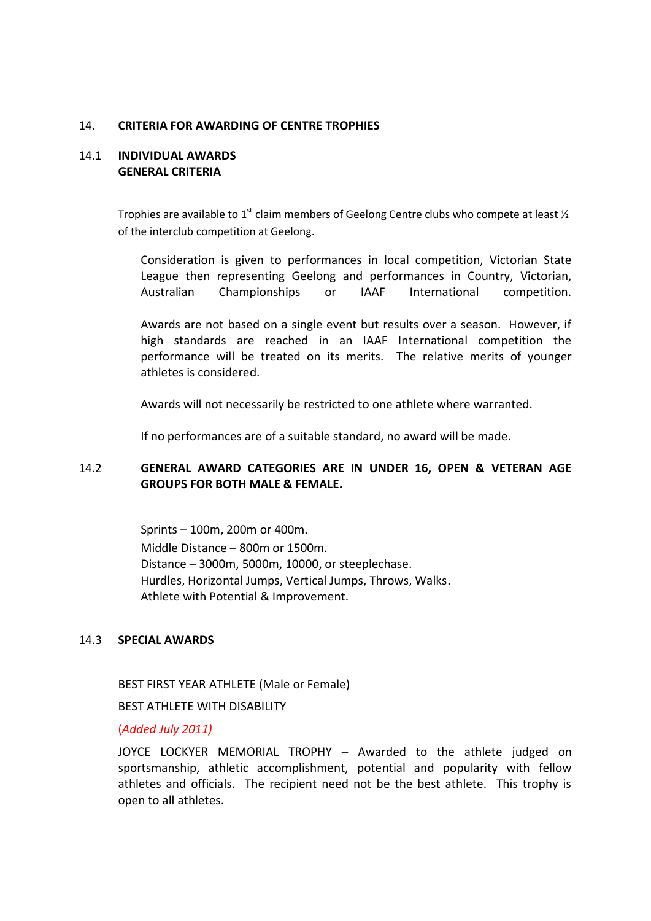#### 14. **CRITERIA FOR AWARDING OF CENTRE TROPHIES**

#### 14.1 **INDIVIDUAL AWARDS GENERAL CRITERIA**

Trophies are available to 1<sup>st</sup> claim members of Geelong Centre clubs who compete at least  $\frac{1}{2}$ of the interclub competition at Geelong.

Consideration is given to performances in local competition, Victorian State League then representing Geelong and performances in Country, Victorian, Australian Championships or IAAF International competition.

Awards are not based on a single event but results over a season. However, if high standards are reached in an IAAF International competition the performance will be treated on its merits. The relative merits of younger athletes is considered.

Awards will not necessarily be restricted to one athlete where warranted.

If no performances are of a suitable standard, no award will be made.

#### 14.2 **GENERAL AWARD CATEGORIES ARE IN UNDER 16, OPEN & VETERAN AGE GROUPS FOR BOTH MALE & FEMALE.**

Sprints – 100m, 200m or 400m.

Middle Distance – 800m or 1500m. Distance – 3000m, 5000m, 10000, or steeplechase. Hurdles, Horizontal Jumps, Vertical Jumps, Throws, Walks. Athlete with Potential & Improvement.

#### 14.3 **SPECIAL AWARDS**

BEST FIRST YEAR ATHLETE (Male or Female)

BEST ATHLETE WITH DISABILITY

(*Added July 2011)*

JOYCE LOCKYER MEMORIAL TROPHY – Awarded to the athlete judged on sportsmanship, athletic accomplishment, potential and popularity with fellow athletes and officials. The recipient need not be the best athlete. This trophy is open to all athletes.